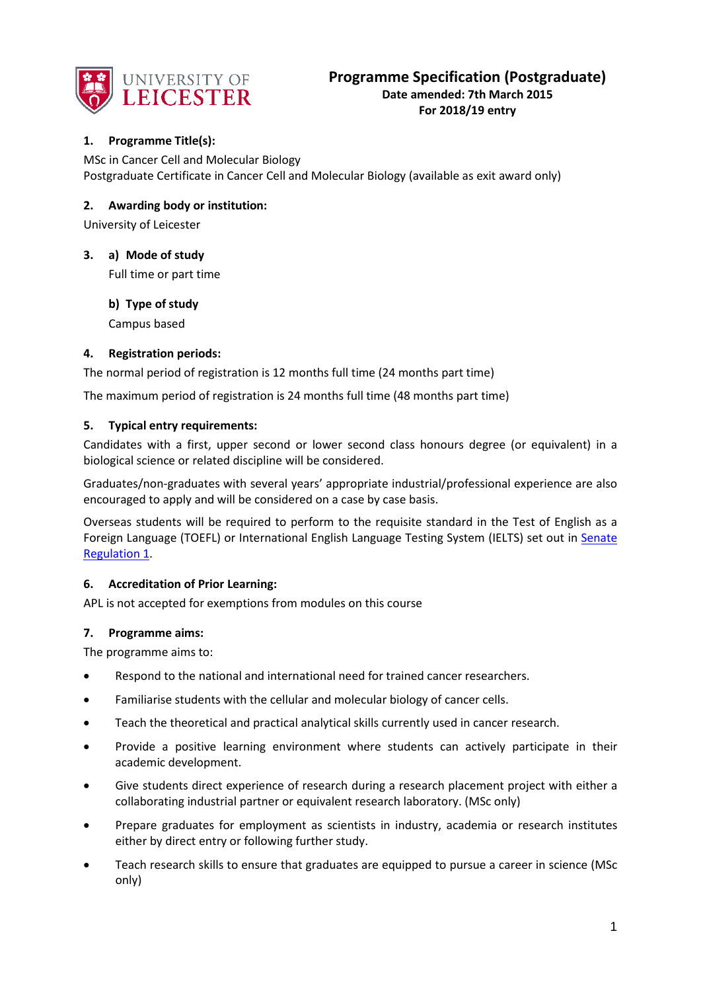

## **1. Programme Title(s):**

MSc in Cancer Cell and Molecular Biology Postgraduate Certificate in Cancer Cell and Molecular Biology (available as exit award only)

## **2. Awarding body or institution:**

University of Leicester

## **3. a) Mode of study**

Full time or part time

### **b) Type of study**

Campus based

## **4. Registration periods:**

The normal period of registration is 12 months full time (24 months part time)

The maximum period of registration is 24 months full time (48 months part time)

### **5. Typical entry requirements:**

Candidates with a first, upper second or lower second class honours degree (or equivalent) in a biological science or related discipline will be considered.

Graduates/non-graduates with several years' appropriate industrial/professional experience are also encouraged to apply and will be considered on a case by case basis.

Overseas students will be required to perform to the requisite standard in the Test of English as a Foreign Language (TOEFL) or International English Language Testing System (IELTS) set out in [Senate](http://www2.le.ac.uk/offices/sas2/regulations/documents/senatereg1-entry.pdf)  [Regulation 1.](http://www2.le.ac.uk/offices/sas2/regulations/documents/senatereg1-entry.pdf)

## **6. Accreditation of Prior Learning:**

APL is not accepted for exemptions from modules on this course

#### **7. Programme aims:**

The programme aims to:

- Respond to the national and international need for trained cancer researchers.
- Familiarise students with the cellular and molecular biology of cancer cells.
- Teach the theoretical and practical analytical skills currently used in cancer research.
- Provide a positive learning environment where students can actively participate in their academic development.
- Give students direct experience of research during a research placement project with either a collaborating industrial partner or equivalent research laboratory. (MSc only)
- Prepare graduates for employment as scientists in industry, academia or research institutes either by direct entry or following further study.
- Teach research skills to ensure that graduates are equipped to pursue a career in science (MSc only)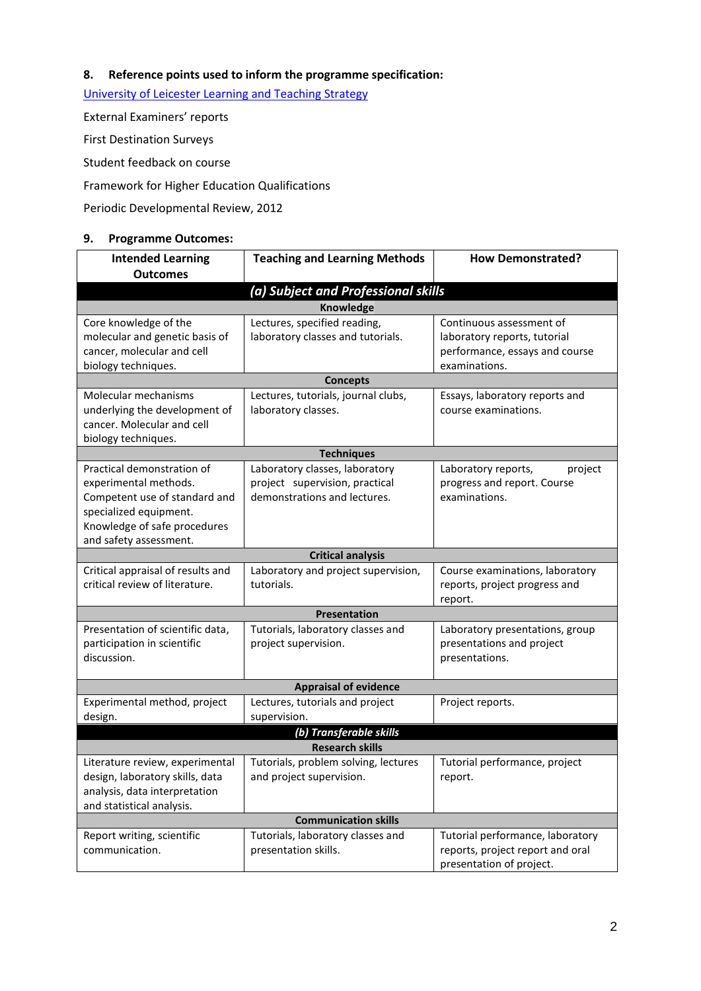# **8. Reference points used to inform the programme specification:**

[University of Leicester Learning and Teaching Strategy](http://www2.le.ac.uk/offices/sas2/quality/learnteach)

External Examiners' reports

First Destination Surveys

Student feedback on course

Framework for Higher Education Qualifications

Periodic Developmental Review, 2012

### **9. Programme Outcomes:**

| <b>Intended Learning</b><br><b>Outcomes</b>                                                                                                                              | <b>Teaching and Learning Methods</b>                                                             | <b>How Demonstrated?</b>                                                                                    |  |  |  |  |
|--------------------------------------------------------------------------------------------------------------------------------------------------------------------------|--------------------------------------------------------------------------------------------------|-------------------------------------------------------------------------------------------------------------|--|--|--|--|
| (a) Subject and Professional skills                                                                                                                                      |                                                                                                  |                                                                                                             |  |  |  |  |
| <b>Knowledge</b>                                                                                                                                                         |                                                                                                  |                                                                                                             |  |  |  |  |
| Core knowledge of the<br>molecular and genetic basis of<br>cancer, molecular and cell<br>biology techniques.                                                             | Lectures, specified reading,<br>laboratory classes and tutorials.                                | Continuous assessment of<br>laboratory reports, tutorial<br>performance, essays and course<br>examinations. |  |  |  |  |
| <b>Concepts</b>                                                                                                                                                          |                                                                                                  |                                                                                                             |  |  |  |  |
| Molecular mechanisms<br>underlying the development of<br>cancer. Molecular and cell<br>biology techniques.                                                               | Lectures, tutorials, journal clubs,<br>laboratory classes.                                       | Essays, laboratory reports and<br>course examinations.                                                      |  |  |  |  |
| <b>Techniques</b>                                                                                                                                                        |                                                                                                  |                                                                                                             |  |  |  |  |
| Practical demonstration of<br>experimental methods.<br>Competent use of standard and<br>specialized equipment.<br>Knowledge of safe procedures<br>and safety assessment. | Laboratory classes, laboratory<br>project supervision, practical<br>demonstrations and lectures. | Laboratory reports,<br>project<br>progress and report. Course<br>examinations.                              |  |  |  |  |
|                                                                                                                                                                          | <b>Critical analysis</b>                                                                         |                                                                                                             |  |  |  |  |
| Critical appraisal of results and<br>critical review of literature.                                                                                                      | Laboratory and project supervision,<br>tutorials.                                                | Course examinations, laboratory<br>reports, project progress and<br>report.                                 |  |  |  |  |
|                                                                                                                                                                          | Presentation                                                                                     |                                                                                                             |  |  |  |  |
| Presentation of scientific data,<br>participation in scientific<br>discussion.                                                                                           | Tutorials, laboratory classes and<br>project supervision.                                        | Laboratory presentations, group<br>presentations and project<br>presentations.                              |  |  |  |  |
|                                                                                                                                                                          | <b>Appraisal of evidence</b>                                                                     |                                                                                                             |  |  |  |  |
| Experimental method, project<br>design.                                                                                                                                  | Lectures, tutorials and project<br>supervision.                                                  | Project reports.                                                                                            |  |  |  |  |
| (b) Transferable skills                                                                                                                                                  |                                                                                                  |                                                                                                             |  |  |  |  |
| <b>Research skills</b>                                                                                                                                                   |                                                                                                  |                                                                                                             |  |  |  |  |
| Literature review, experimental<br>design, laboratory skills, data<br>analysis, data interpretation<br>and statistical analysis.                                         | Tutorials, problem solving, lectures<br>and project supervision.                                 | Tutorial performance, project<br>report.                                                                    |  |  |  |  |
| <b>Communication skills</b>                                                                                                                                              |                                                                                                  |                                                                                                             |  |  |  |  |
| Report writing, scientific<br>communication.                                                                                                                             | Tutorials, laboratory classes and<br>presentation skills.                                        | Tutorial performance, laboratory<br>reports, project report and oral<br>presentation of project.            |  |  |  |  |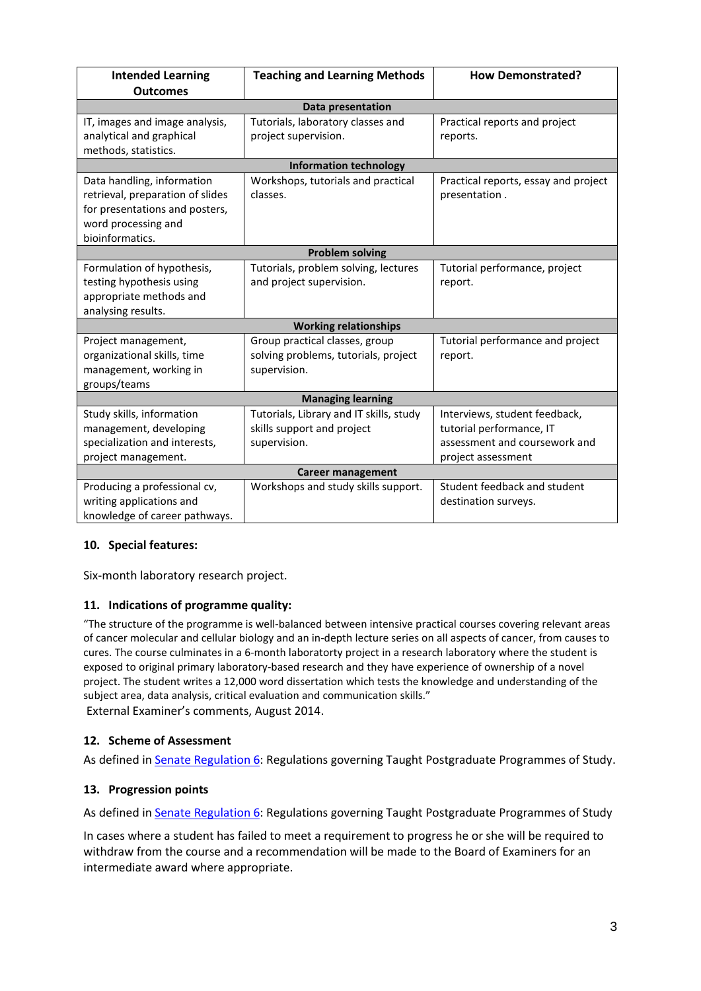| <b>Intended Learning</b><br><b>Outcomes</b>                                                                                                | <b>Teaching and Learning Methods</b>                                                   | <b>How Demonstrated?</b>                                                                                         |  |  |  |  |
|--------------------------------------------------------------------------------------------------------------------------------------------|----------------------------------------------------------------------------------------|------------------------------------------------------------------------------------------------------------------|--|--|--|--|
| Data presentation                                                                                                                          |                                                                                        |                                                                                                                  |  |  |  |  |
| IT, images and image analysis,<br>analytical and graphical<br>methods, statistics.                                                         | Tutorials, laboratory classes and<br>project supervision.                              | Practical reports and project<br>reports.                                                                        |  |  |  |  |
| <b>Information technology</b>                                                                                                              |                                                                                        |                                                                                                                  |  |  |  |  |
| Data handling, information<br>retrieval, preparation of slides<br>for presentations and posters,<br>word processing and<br>bioinformatics. | Workshops, tutorials and practical<br>classes.                                         | Practical reports, essay and project<br>presentation.                                                            |  |  |  |  |
| <b>Problem solving</b>                                                                                                                     |                                                                                        |                                                                                                                  |  |  |  |  |
| Formulation of hypothesis,<br>testing hypothesis using<br>appropriate methods and<br>analysing results.                                    | Tutorials, problem solving, lectures<br>and project supervision.                       | Tutorial performance, project<br>report.                                                                         |  |  |  |  |
| <b>Working relationships</b>                                                                                                               |                                                                                        |                                                                                                                  |  |  |  |  |
| Project management,<br>organizational skills, time<br>management, working in<br>groups/teams                                               | Group practical classes, group<br>solving problems, tutorials, project<br>supervision. | Tutorial performance and project<br>report.                                                                      |  |  |  |  |
| <b>Managing learning</b>                                                                                                                   |                                                                                        |                                                                                                                  |  |  |  |  |
| Study skills, information<br>management, developing<br>specialization and interests,<br>project management.                                | Tutorials, Library and IT skills, study<br>skills support and project<br>supervision.  | Interviews, student feedback,<br>tutorial performance, IT<br>assessment and coursework and<br>project assessment |  |  |  |  |
| <b>Career management</b>                                                                                                                   |                                                                                        |                                                                                                                  |  |  |  |  |
| Producing a professional cv,<br>writing applications and<br>knowledge of career pathways.                                                  | Workshops and study skills support.                                                    | Student feedback and student<br>destination surveys.                                                             |  |  |  |  |

## **10. Special features:**

Six-month laboratory research project.

## **11. Indications of programme quality:**

"The structure of the programme is well-balanced between intensive practical courses covering relevant areas of cancer molecular and cellular biology and an in-depth lecture series on all aspects of cancer, from causes to cures. The course culminates in a 6-month laboratorty project in a research laboratory where the student is exposed to original primary laboratory-based research and they have experience of ownership of a novel project. The student writes a 12,000 word dissertation which tests the knowledge and understanding of the subject area, data analysis, critical evaluation and communication skills." External Examiner's comments, August 2014.

#### **12. Scheme of Assessment**

As defined i[n Senate Regulation 6:](http://www.le.ac.uk/senate-regulation6) Regulations governing Taught Postgraduate Programmes of Study.

#### **13. Progression points**

As defined i[n Senate Regulation 6:](http://www.le.ac.uk/senate-regulation6) Regulations governing Taught Postgraduate Programmes of Study

In cases where a student has failed to meet a requirement to progress he or she will be required to withdraw from the course and a recommendation will be made to the Board of Examiners for an intermediate award where appropriate.